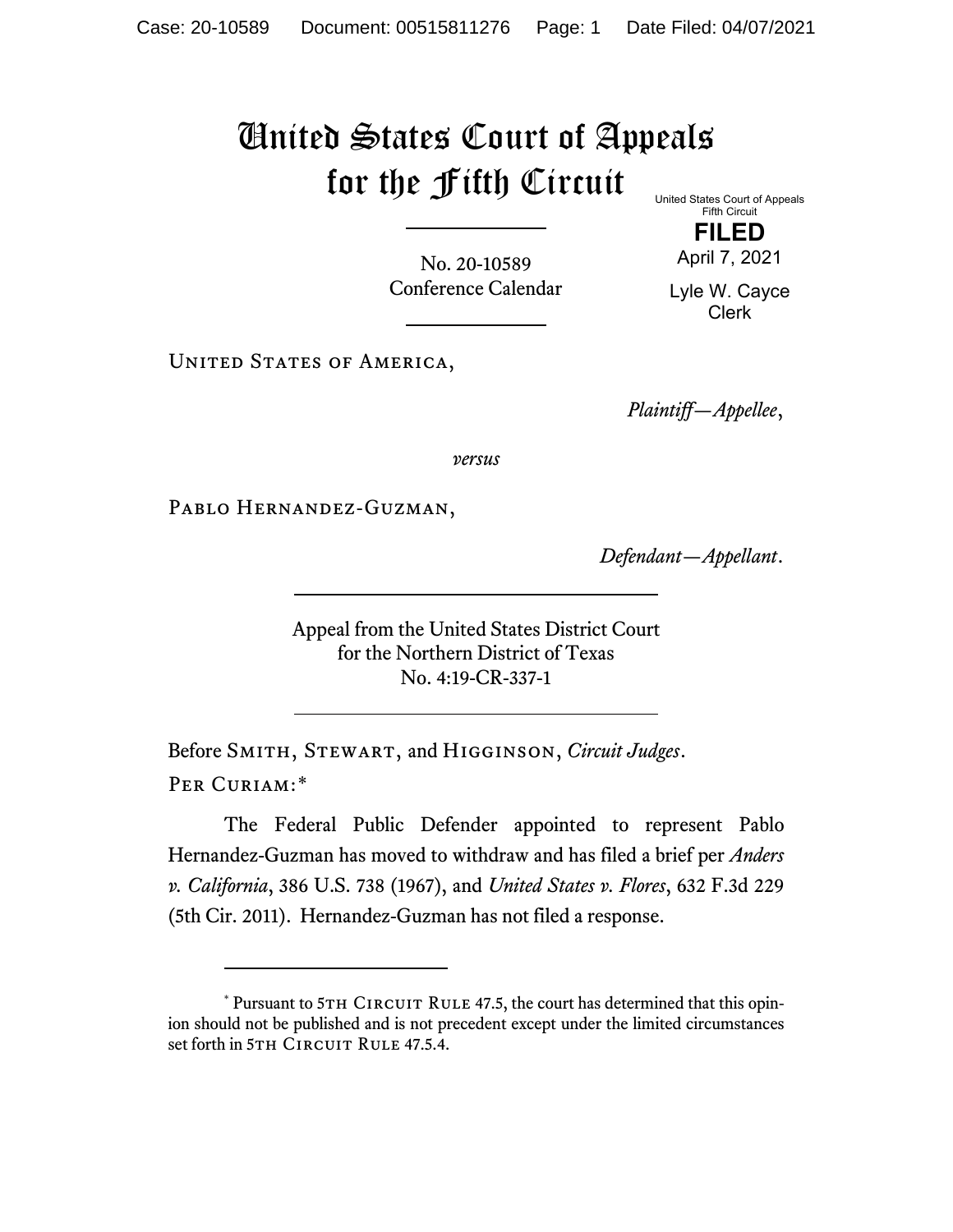## United States Court of Appeals for the Fifth Circuit

No. 20-10589 Conference Calendar United States Court of Appeals Fifth Circuit

> **FILED** April 7, 2021

Lyle W. Cayce Clerk

UNITED STATES OF AMERICA,

*Plaintiff—Appellee*,

*versus*

PABLO HERNANDEZ-GUZMAN,

*Defendant—Appellant*.

Appeal from the United States District Court for the Northern District of Texas No. 4:19-CR-337-1

Before Smith, Stewart, and Higginson, *Circuit Judges*. Per Curiam:[\\*](#page-0-0)

The Federal Public Defender appointed to represent Pablo Hernandez-Guzman has moved to withdraw and has filed a brief per *Anders v. California*, 386 U.S. 738 (1967), and *United States v. Flores*, 632 F.3d 229 (5th Cir. 2011). Hernandez-Guzman has not filed a response.

<span id="page-0-0"></span> $*$  Pursuant to 5TH CIRCUIT RULE 47.5, the court has determined that this opinion should not be published and is not precedent except under the limited circumstances set forth in 5TH CIRCUIT RULE 47.5.4.